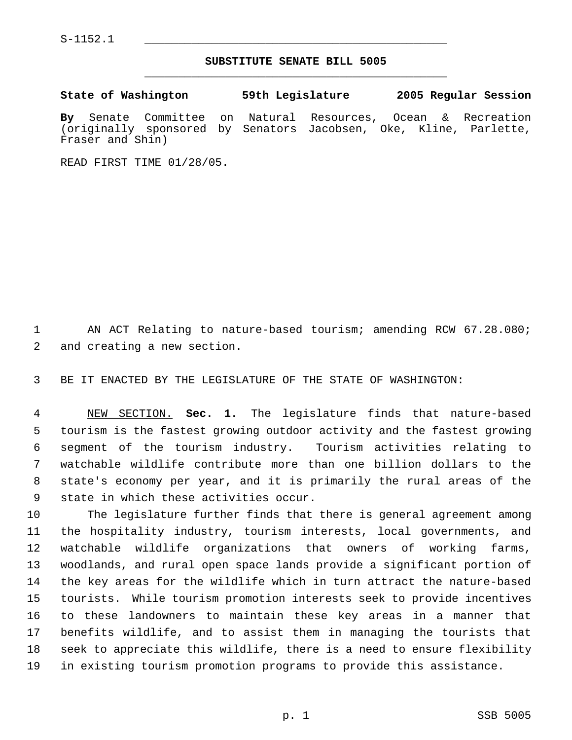## **SUBSTITUTE SENATE BILL 5005** \_\_\_\_\_\_\_\_\_\_\_\_\_\_\_\_\_\_\_\_\_\_\_\_\_\_\_\_\_\_\_\_\_\_\_\_\_\_\_\_\_\_\_\_\_

**State of Washington 59th Legislature 2005 Regular Session By** Senate Committee on Natural Resources, Ocean & Recreation (originally sponsored by Senators Jacobsen, Oke, Kline, Parlette, Fraser and Shin)

READ FIRST TIME 01/28/05.

 AN ACT Relating to nature-based tourism; amending RCW 67.28.080; and creating a new section.

BE IT ENACTED BY THE LEGISLATURE OF THE STATE OF WASHINGTON:

 NEW SECTION. **Sec. 1.** The legislature finds that nature-based tourism is the fastest growing outdoor activity and the fastest growing segment of the tourism industry. Tourism activities relating to watchable wildlife contribute more than one billion dollars to the state's economy per year, and it is primarily the rural areas of the state in which these activities occur.

 The legislature further finds that there is general agreement among the hospitality industry, tourism interests, local governments, and watchable wildlife organizations that owners of working farms, woodlands, and rural open space lands provide a significant portion of the key areas for the wildlife which in turn attract the nature-based tourists. While tourism promotion interests seek to provide incentives to these landowners to maintain these key areas in a manner that benefits wildlife, and to assist them in managing the tourists that seek to appreciate this wildlife, there is a need to ensure flexibility in existing tourism promotion programs to provide this assistance.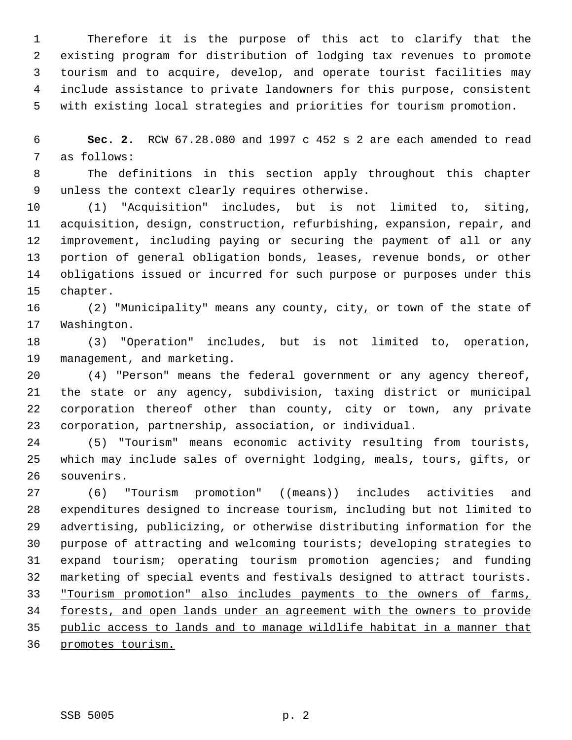Therefore it is the purpose of this act to clarify that the existing program for distribution of lodging tax revenues to promote tourism and to acquire, develop, and operate tourist facilities may include assistance to private landowners for this purpose, consistent with existing local strategies and priorities for tourism promotion.

 **Sec. 2.** RCW 67.28.080 and 1997 c 452 s 2 are each amended to read as follows:

 The definitions in this section apply throughout this chapter unless the context clearly requires otherwise.

 (1) "Acquisition" includes, but is not limited to, siting, acquisition, design, construction, refurbishing, expansion, repair, and improvement, including paying or securing the payment of all or any portion of general obligation bonds, leases, revenue bonds, or other obligations issued or incurred for such purpose or purposes under this chapter.

16 (2) "Municipality" means any county, city, or town of the state of Washington.

 (3) "Operation" includes, but is not limited to, operation, management, and marketing.

 (4) "Person" means the federal government or any agency thereof, the state or any agency, subdivision, taxing district or municipal corporation thereof other than county, city or town, any private corporation, partnership, association, or individual.

 (5) "Tourism" means economic activity resulting from tourists, which may include sales of overnight lodging, meals, tours, gifts, or souvenirs.

27 (6) "Tourism promotion" ((means)) includes activities and expenditures designed to increase tourism, including but not limited to advertising, publicizing, or otherwise distributing information for the purpose of attracting and welcoming tourists; developing strategies to expand tourism; operating tourism promotion agencies; and funding marketing of special events and festivals designed to attract tourists. "Tourism promotion" also includes payments to the owners of farms, forests, and open lands under an agreement with the owners to provide public access to lands and to manage wildlife habitat in a manner that promotes tourism.